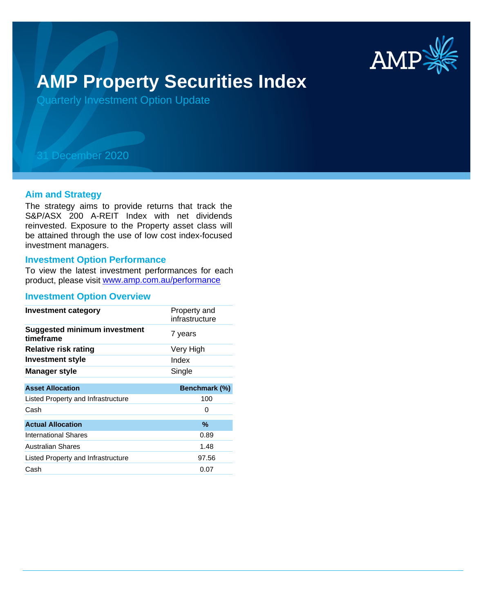

# **AMP Property Securities Index**

Quarterly Investment Option Update

## 31 December 2020

#### **Aim and Strategy**

The strategy aims to provide returns that track the S&P/ASX 200 A-REIT Index with net dividends reinvested. Exposure to the Property asset class will be attained through the use of low cost index-focused investment managers.

#### **Investment Option Performance**

product, please visit www.amp.com.au/performance To view the latest investment performances for each

#### **Investment Option Overview**

| <b>Investment category</b>                       | Property and<br>infrastructure |
|--------------------------------------------------|--------------------------------|
| <b>Suggested minimum investment</b><br>timeframe | 7 years                        |
| <b>Relative risk rating</b>                      | Very High                      |
| <b>Investment style</b>                          | Index                          |
| Manager style                                    | Single                         |
|                                                  |                                |
| <b>Asset Allocation</b>                          | Benchmark (%)                  |
| Listed Property and Infrastructure               | 100                            |
| Cash                                             | Ω                              |
| <b>Actual Allocation</b>                         | $\%$                           |
| <b>International Shares</b>                      | 0.89                           |
| <b>Australian Shares</b>                         | 1.48                           |
| Listed Property and Infrastructure               | 97.56                          |
| Cash                                             | 0.07                           |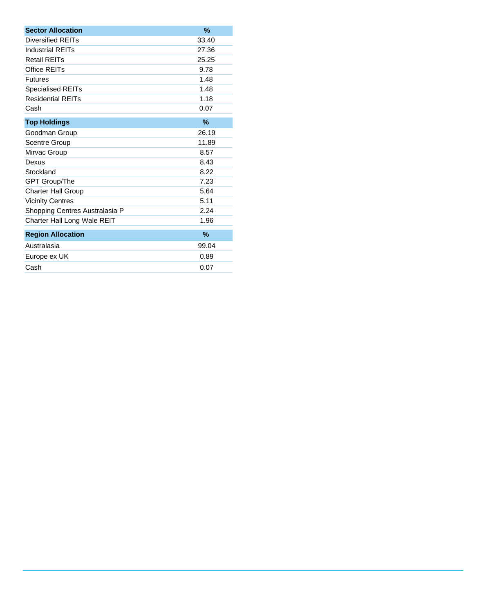| <b>Sector Allocation</b>           | %     |
|------------------------------------|-------|
| <b>Diversified REITs</b>           | 33.40 |
| <b>Industrial REITs</b>            | 27.36 |
| <b>Retail REITs</b>                | 25.25 |
| Office REITs                       | 9.78  |
| <b>Futures</b>                     | 1.48  |
| <b>Specialised REITs</b>           | 1.48  |
| <b>Residential REITs</b>           | 1.18  |
| Cash                               | 0.07  |
| <b>Top Holdings</b>                | $\%$  |
| Goodman Group                      | 26.19 |
| <b>Scentre Group</b>               | 11.89 |
| Mirvac Group                       | 8.57  |
| Dexus                              | 8.43  |
| Stockland                          | 8.22  |
| GPT Group/The                      | 7.23  |
| <b>Charter Hall Group</b>          | 5.64  |
| <b>Vicinity Centres</b>            | 5.11  |
| Shopping Centres Australasia P     | 2.24  |
| <b>Charter Hall Long Wale REIT</b> | 1.96  |
| <b>Region Allocation</b>           | $\%$  |
| Australasia                        | 99.04 |
| Europe ex UK                       | 0.89  |
| Cash                               | 0.07  |